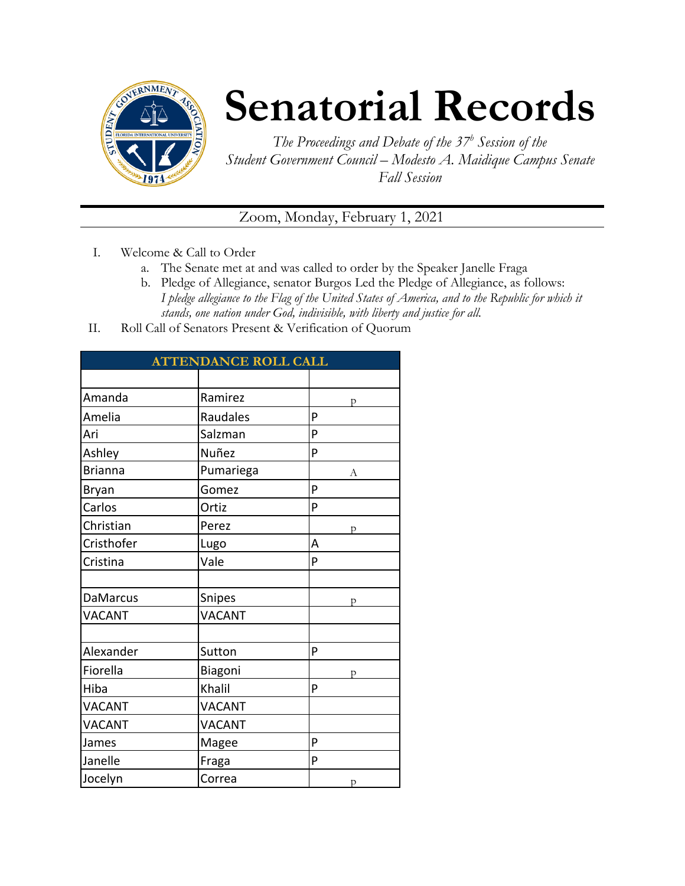

## **Senatorial Records**

*The Proceedings and Debate of the 37 <sup>h</sup> Session of the Student Government Council – Modesto A. Maidique Campus Senate Fall Session*

Zoom, Monday, February 1, 2021

- I. Welcome & Call to Order
	- a. The Senate met at and was called to order by the Speaker Janelle Fraga
	- b. Pledge of Allegiance, senator Burgos Led the Pledge of Allegiance, as follows: *I pledge allegiance to the Flag of the United States of America, and to the Republic for which it stands, one nation under God, indivisible, with liberty and justice for all.*
- II. Roll Call of Senators Present & Verification of Quorum

| <b>ATTENDANCE ROLL CALL</b> |               |   |  |
|-----------------------------|---------------|---|--|
|                             |               |   |  |
| Amanda                      | Ramirez       | р |  |
| Amelia                      | Raudales      | P |  |
| Ari                         | Salzman       | P |  |
| Ashley                      | Nuñez         | P |  |
| <b>Brianna</b>              | Pumariega     | А |  |
| <b>Bryan</b>                | Gomez         | P |  |
| Carlos                      | Ortiz         | P |  |
| Christian                   | Perez         | p |  |
| Cristhofer                  | Lugo          | Α |  |
| Cristina                    | Vale          | P |  |
|                             |               |   |  |
| <b>DaMarcus</b>             | Snipes        | D |  |
| <b>VACANT</b>               | <b>VACANT</b> |   |  |
|                             |               |   |  |
| Alexander                   | Sutton        | P |  |
| Fiorella                    | Biagoni       | р |  |
| Hiba                        | Khalil        | P |  |
| <b>VACANT</b>               | <b>VACANT</b> |   |  |
| <b>VACANT</b>               | <b>VACANT</b> |   |  |
| James                       | Magee         | P |  |
| Janelle                     | Fraga         | P |  |
| Jocelyn                     | Correa        | p |  |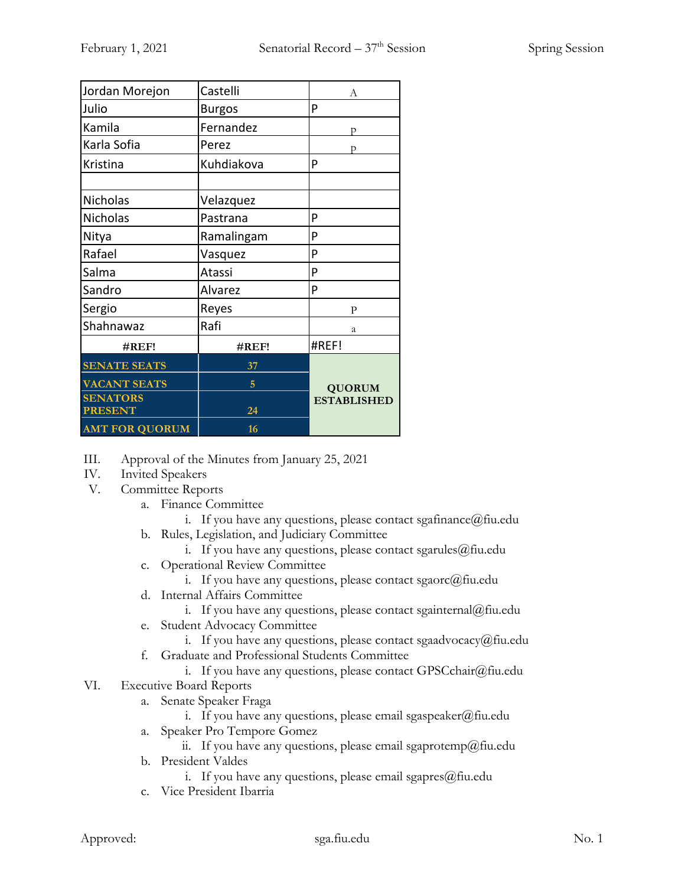| Jordan Morejon        | Castelli      | A                  |
|-----------------------|---------------|--------------------|
| Julio                 | <b>Burgos</b> | P                  |
| Kamila                | Fernandez     | p                  |
| Karla Sofia           | Perez         | D                  |
| Kristina              | Kuhdiakova    | P                  |
|                       |               |                    |
| Nicholas              | Velazquez     |                    |
| Nicholas              | Pastrana      | P                  |
| Nitya                 | Ramalingam    | P                  |
| Rafael                | Vasquez       | P                  |
| Salma                 | Atassi        | P                  |
| Sandro                | Alvarez       | P                  |
| Sergio                | Reyes         | P                  |
| Shahnawaz             | Rafi          | a                  |
| #REF!                 | #REF!         | #REF!              |
| <b>SENATE SEATS</b>   | 37            |                    |
| <b>VACANT SEATS</b>   | 5             | <b>QUORUM</b>      |
| <b>SENATORS</b>       |               | <b>ESTABLISHED</b> |
| <b>PRESENT</b>        | 24            |                    |
| <b>AMT FOR QUORUM</b> | 16            |                    |

- III. Approval of the Minutes from January 25, 2021
- IV. Invited Speakers
- V. Committee Reports
	- a. Finance Committee
		- i. If you have any questions, please contact sgafinance  $@$  fiu.edu
	- b. Rules, Legislation, and Judiciary Committee
		- i. If you have any questions, please contact sgarules $@$ fiu.edu
	- c. Operational Review Committee
		- i. If you have any questions, please contact sgaorc $@$ fiu.edu
	- d. Internal Affairs Committee
		- i. If you have any questions, please contact sgainternal@fiu.edu
	- e. Student Advocacy Committee
		- i. If you have any questions, please contact sgaadvocacy@fiu.edu
	- f. Graduate and Professional Students Committee
		- i. If you have any questions, please contact GPSCchair@fiu.edu
- VI. Executive Board Reports
	- a. Senate Speaker Fraga
		- i. If you have any questions, please email sgaspeaker@fiu.edu
	- a. Speaker Pro Tempore Gomez
		- ii. If you have any questions, please email sgaprotemp@fiu.edu
	- b. President Valdes
		- i. If you have any questions, please email sgapres $@$ fiu.edu
	- c. Vice President Ibarria